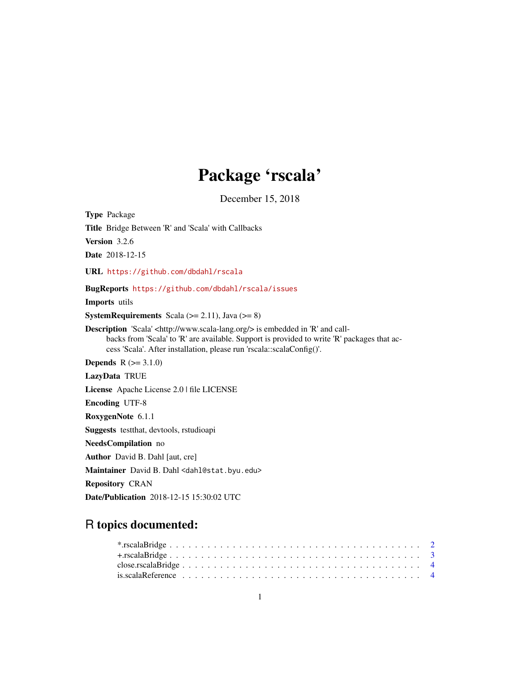## Package 'rscala'

December 15, 2018

<span id="page-0-0"></span>Type Package Title Bridge Between 'R' and 'Scala' with Callbacks Version 3.2.6 Date 2018-12-15 URL <https://github.com/dbdahl/rscala> BugReports <https://github.com/dbdahl/rscala/issues> Imports utils **SystemRequirements** Scala ( $>= 2.11$ ), Java ( $>= 8$ ) Description 'Scala' <http://www.scala-lang.org/> is embedded in 'R' and callbacks from 'Scala' to 'R' are available. Support is provided to write 'R' packages that access 'Scala'. After installation, please run 'rscala::scalaConfig()'. **Depends**  $R (=3.1.0)$ LazyData TRUE License Apache License 2.0 | file LICENSE Encoding UTF-8 RoxygenNote 6.1.1 Suggests testthat, devtools, rstudioapi NeedsCompilation no Author David B. Dahl [aut, cre] Maintainer David B. Dahl <dahl@stat.byu.edu> Repository CRAN Date/Publication 2018-12-15 15:30:02 UTC

## R topics documented:

| is scala Reference $\ldots \ldots \ldots \ldots \ldots \ldots \ldots \ldots \ldots \ldots \ldots \ldots \ldots$ |  |  |  |  |  |  |  |  |  |  |  |  |  |  |  |  |  |  |  |  |
|-----------------------------------------------------------------------------------------------------------------|--|--|--|--|--|--|--|--|--|--|--|--|--|--|--|--|--|--|--|--|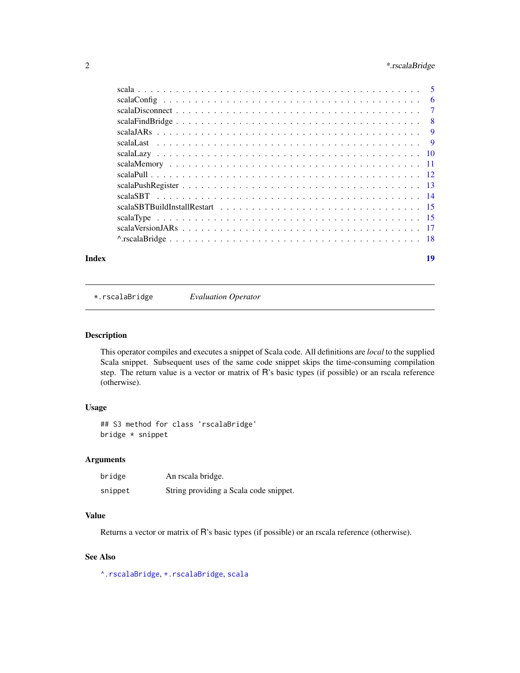### <span id="page-1-0"></span>2 **\*.rscalaBridge**

| Index | 19 |
|-------|----|

<span id="page-1-1"></span>\*.rscalaBridge *Evaluation Operator*

### Description

This operator compiles and executes a snippet of Scala code. All definitions are *local* to the supplied Scala snippet. Subsequent uses of the same code snippet skips the time-consuming compilation step. The return value is a vector or matrix of R's basic types (if possible) or an rscala reference (otherwise).

#### Usage

## S3 method for class 'rscalaBridge' bridge \* snippet

### Arguments

| bridge  | An rscala bridge.                      |
|---------|----------------------------------------|
| snippet | String providing a Scala code snippet. |

### Value

Returns a vector or matrix of R's basic types (if possible) or an rscala reference (otherwise).

### See Also

[^.rscalaBridge](#page-17-1), [+.rscalaBridge](#page-2-1), [scala](#page-4-1)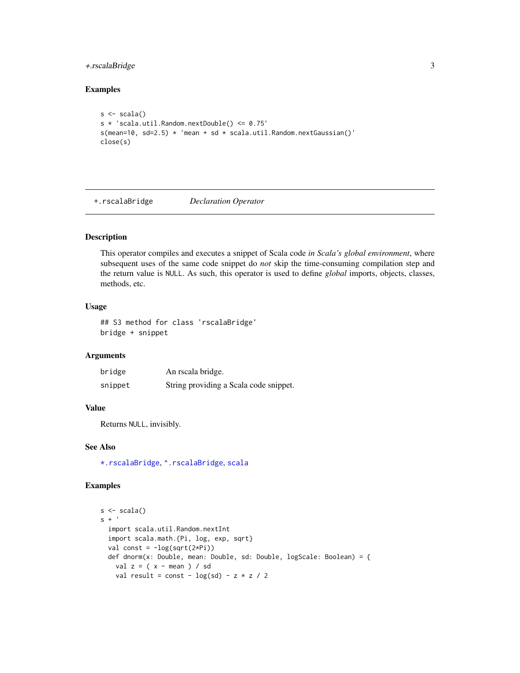### <span id="page-2-0"></span>+.rscalaBridge 3

### Examples

```
s \leftarrow \text{scal}(s)s * 'scala.util.Random.nextDouble() <= 0.75'
s(mean=10, sd=2.5) * 'mean + sd * scala.util.Random.nextGaussian()'
close(s)
```
<span id="page-2-1"></span>+.rscalaBridge *Declaration Operator*

### Description

This operator compiles and executes a snippet of Scala code *in Scala's global environment*, where subsequent uses of the same code snippet do *not* skip the time-consuming compilation step and the return value is NULL. As such, this operator is used to define *global* imports, objects, classes, methods, etc.

#### Usage

## S3 method for class 'rscalaBridge' bridge + snippet

### Arguments

| bridge  | An rscala bridge.                      |
|---------|----------------------------------------|
| snippet | String providing a Scala code snippet. |

#### Value

Returns NULL, invisibly.

### See Also

[\\*.rscalaBridge](#page-1-1), [^.rscalaBridge](#page-17-1), [scala](#page-4-1)

### Examples

```
s \leftarrow \text{scalar}()s +'
  import scala.util.Random.nextInt
  import scala.math.{Pi, log, exp, sqrt}
  val const = -log(sqrt(2*Pi))def dnorm(x: Double, mean: Double, sd: Double, logScale: Boolean) = {
    val z = (x - mean) / sdval result = const - log(sd) - z * z / 2
```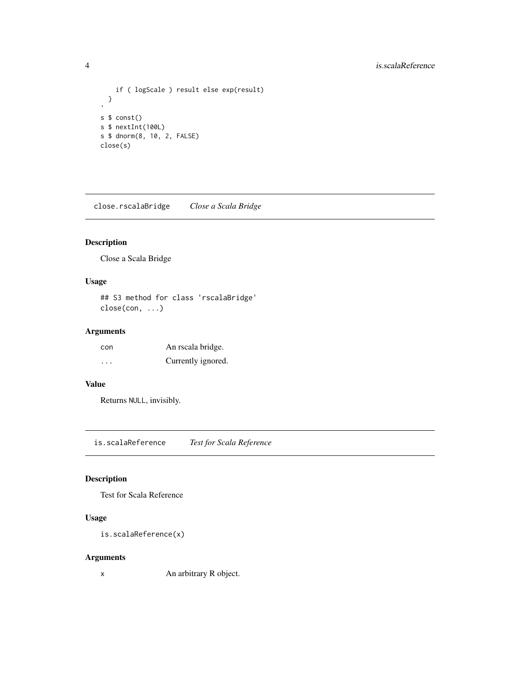### <span id="page-3-0"></span>4 is.scalaReference is.scalaReference

```
if ( logScale ) result else exp(result)
 }
s $ const()
s $ nextInt(100L)
s $ dnorm(8, 10, 2, FALSE)
close(s)
```
<span id="page-3-1"></span>close.rscalaBridge *Close a Scala Bridge*

### Description

Close a Scala Bridge

### Usage

```
## S3 method for class 'rscalaBridge'
close(con, ...)
```
### Arguments

| con                     | An rscala bridge.  |
|-------------------------|--------------------|
| $\cdot$ $\cdot$ $\cdot$ | Currently ignored. |

### Value

Returns NULL, invisibly.

is.scalaReference *Test for Scala Reference*

### Description

Test for Scala Reference

### Usage

```
is.scalaReference(x)
```
### Arguments

x An arbitrary R object.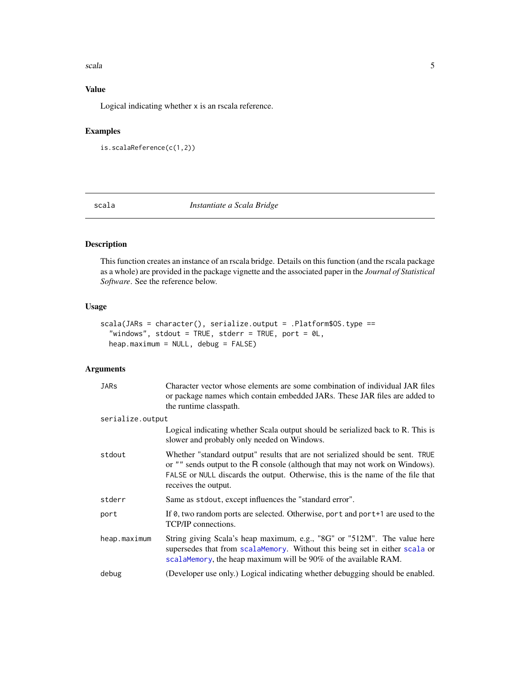#### <span id="page-4-0"></span>scala **5**

### Value

Logical indicating whether x is an rscala reference.

### Examples

```
is.scalaReference(c(1,2))
```
<span id="page-4-1"></span>scala *Instantiate a Scala Bridge*

### Description

This function creates an instance of an rscala bridge. Details on this function (and the rscala package as a whole) are provided in the package vignette and the associated paper in the *Journal of Statistical Software*. See the reference below.

### Usage

```
scala(JARs = character(), serialize.output = .Platform$OS.type ==
  "windows", stdout = TRUE, stderr = TRUE, port = 0L,
 heap.maximum = NULL, debug = FALSE)
```
### Arguments

| JARs             | Character vector whose elements are some combination of individual JAR files<br>or package names which contain embedded JARs. These JAR files are added to<br>the runtime classpath.                                                                                      |
|------------------|---------------------------------------------------------------------------------------------------------------------------------------------------------------------------------------------------------------------------------------------------------------------------|
| serialize.output |                                                                                                                                                                                                                                                                           |
|                  | Logical indicating whether Scala output should be serialized back to R. This is<br>slower and probably only needed on Windows.                                                                                                                                            |
| stdout           | Whether "standard output" results that are not serialized should be sent. TRUE<br>or "" sends output to the R console (although that may not work on Windows).<br>FALSE or NULL discards the output. Otherwise, this is the name of the file that<br>receives the output. |
| stderr           | Same as stdout, except influences the "standard error".                                                                                                                                                                                                                   |
| port             | If 0, two random ports are selected. Otherwise, port and port+1 are used to the<br>TCP/IP connections.                                                                                                                                                                    |
| heap.maximum     | String giving Scala's heap maximum, e.g., "8G" or "512M". The value here<br>supersedes that from scalaMemory. Without this being set in either scala or<br>scalaMemory, the heap maximum will be 90% of the available RAM.                                                |
| debug            | (Developer use only.) Logical indicating whether debugging should be enabled.                                                                                                                                                                                             |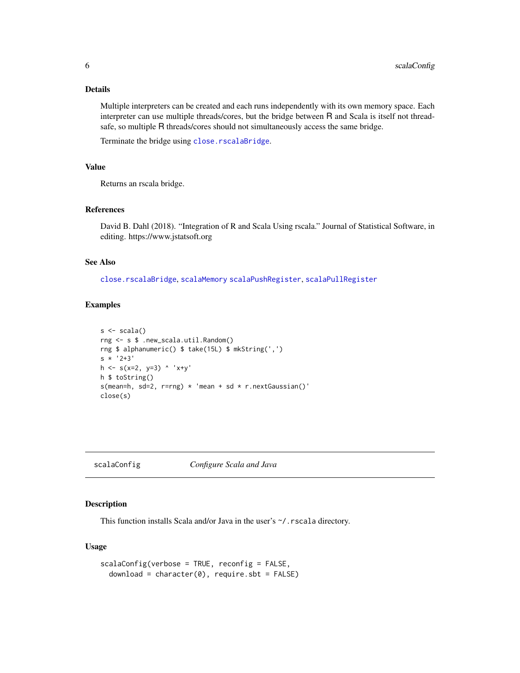### <span id="page-5-0"></span>Details

Multiple interpreters can be created and each runs independently with its own memory space. Each interpreter can use multiple threads/cores, but the bridge between R and Scala is itself not threadsafe, so multiple R threads/cores should not simultaneously access the same bridge.

Terminate the bridge using [close.rscalaBridge](#page-3-1).

### Value

Returns an rscala bridge.

### References

David B. Dahl (2018). "Integration of R and Scala Using rscala." Journal of Statistical Software, in editing. https://www.jstatsoft.org

#### See Also

[close.rscalaBridge](#page-3-1), [scalaMemory](#page-10-1) [scalaPushRegister](#page-12-1), [scalaPullRegister](#page-12-2)

#### Examples

```
s \leftarrow \text{scalar}()rng <- s $ .new_scala.util.Random()
rng $ alphanumeric() $ take(15L) $ mkString(',')
s * '2+3'h \leq s(x=2, y=3) 'x+y'
h $ toString()
s(mean=h, sd=2, r=rng) * 'mean + sd * r.nextGaussian()'
close(s)
```
scalaConfig *Configure Scala and Java*

### Description

This function installs Scala and/or Java in the user's ~/.rscala directory.

### Usage

```
scalaConfig(verbose = TRUE, reconfig = FALSE,
  download = character(0), require.sbt = FALSE)
```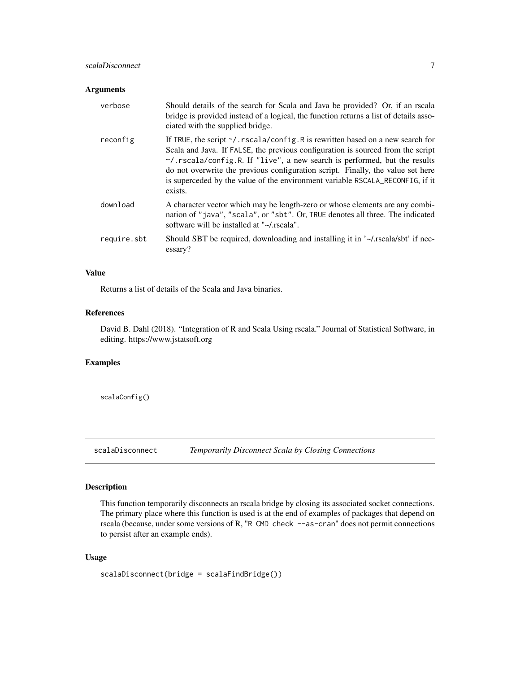### <span id="page-6-0"></span>scalaDisconnect 7 and 7 and 7 and 7 and 7 and 7 and 7 and 7 and 7 and 7 and 7 and 7 and 7 and 7 and 7 and 7 and 7 and 7 and 7 and 7 and 7 and 7 and 7 and 7 and 7 and 7 and 7 and 7 and 7 and 7 and 7 and 7 and 7 and 7 and 7

### Arguments

| verbose     | Should details of the search for Scala and Java be provided? Or, if an rscala<br>bridge is provided instead of a logical, the function returns a list of details asso-<br>ciated with the supplied bridge.                                                                                                                                                                                                                                    |
|-------------|-----------------------------------------------------------------------------------------------------------------------------------------------------------------------------------------------------------------------------------------------------------------------------------------------------------------------------------------------------------------------------------------------------------------------------------------------|
| reconfig    | If TRUE, the script $\gamma$ . rscala/config. R is rewritten based on a new search for<br>Scala and Java. If FALSE, the previous configuration is sourced from the script<br>$\gamma$ . rscala/config.R. If "live", a new search is performed, but the results<br>do not overwrite the previous configuration script. Finally, the value set here<br>is superceded by the value of the environment variable RSCALA_RECONFIG, if it<br>exists. |
| download    | A character vector which may be length-zero or whose elements are any combi-<br>nation of "java", "scala", or "sbt". Or, TRUE denotes all three. The indicated<br>software will be installed at "~/.rscala".                                                                                                                                                                                                                                  |
| require.sbt | Should SBT be required, downloading and installing it in '~/.rscala/sbt' if nec-<br>essary?                                                                                                                                                                                                                                                                                                                                                   |

### Value

Returns a list of details of the Scala and Java binaries.

### References

David B. Dahl (2018). "Integration of R and Scala Using rscala." Journal of Statistical Software, in editing. https://www.jstatsoft.org

### Examples

scalaConfig()

scalaDisconnect *Temporarily Disconnect Scala by Closing Connections*

### Description

This function temporarily disconnects an rscala bridge by closing its associated socket connections. The primary place where this function is used is at the end of examples of packages that depend on rscala (because, under some versions of R, "R CMD check --as-cran" does not permit connections to persist after an example ends).

### Usage

```
scalaDisconnect(bridge = scalaFindBridge())
```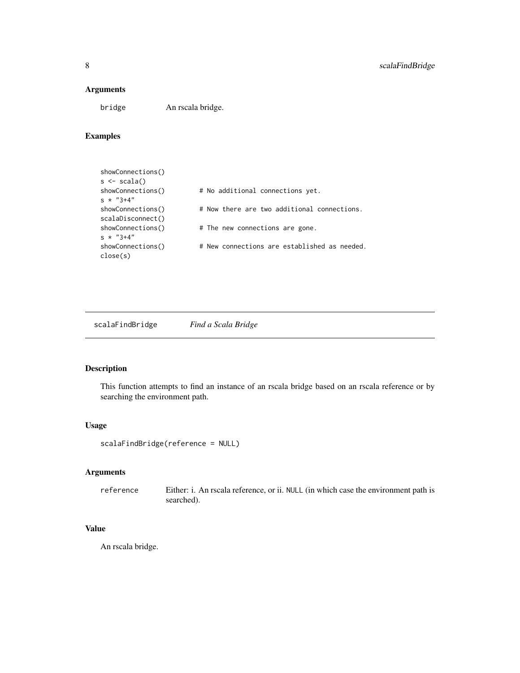### <span id="page-7-0"></span>Arguments

bridge An rscala bridge.

### Examples

| # No additional connections yet.             |
|----------------------------------------------|
| # Now there are two additional connections.  |
| # The new connections are gone.              |
| # New connections are established as needed. |
|                                              |

<span id="page-7-1"></span>scalaFindBridge *Find a Scala Bridge*

### Description

This function attempts to find an instance of an rscala bridge based on an rscala reference or by searching the environment path.

### Usage

```
scalaFindBridge(reference = NULL)
```
### Arguments

reference Either: i. An rscala reference, or ii. NULL (in which case the environment path is searched).

### Value

An rscala bridge.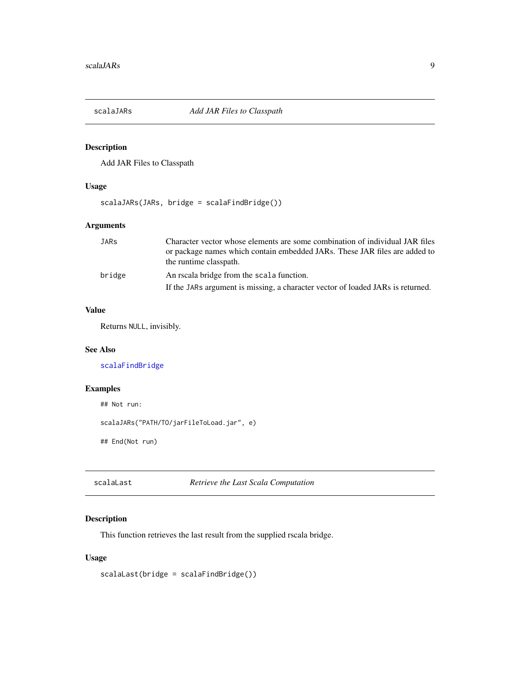<span id="page-8-0"></span>

### Description

Add JAR Files to Classpath

### Usage

scalaJARs(JARs, bridge = scalaFindBridge())

### Arguments

| JARs   | Character vector whose elements are some combination of individual JAR files    |
|--------|---------------------------------------------------------------------------------|
|        | or package names which contain embedded JARs. These JAR files are added to      |
|        | the runtime classpath.                                                          |
| bridge | An rscala bridge from the scala function.                                       |
|        | If the JARs argument is missing, a character vector of loaded JARs is returned. |

### Value

Returns NULL, invisibly.

### See Also

[scalaFindBridge](#page-7-1)

### Examples

```
## Not run:
```
scalaJARs("PATH/TO/jarFileToLoad.jar", e)

## End(Not run)

```
scalaLast Retrieve the Last Scala Computation
```
### Description

This function retrieves the last result from the supplied rscala bridge.

### Usage

scalaLast(bridge = scalaFindBridge())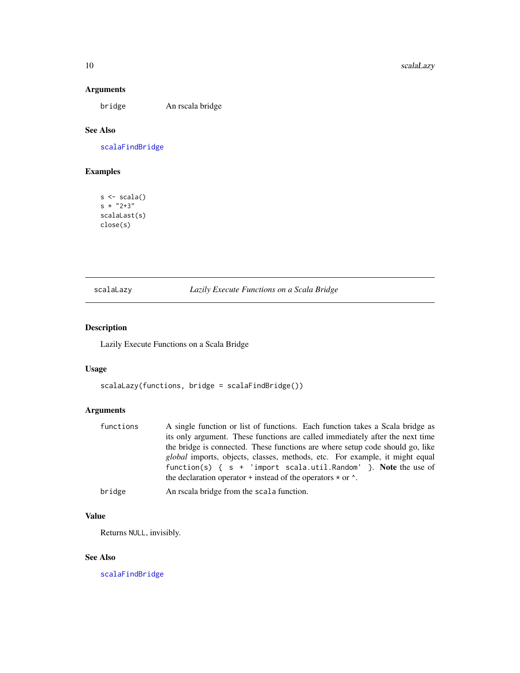### Arguments

bridge An rscala bridge

### See Also

[scalaFindBridge](#page-7-1)

### Examples

 $s \leftarrow \text{scalar}()$ s  $* "2+3"$ scalaLast(s) close(s)

### scalaLazy *Lazily Execute Functions on a Scala Bridge*

### Description

Lazily Execute Functions on a Scala Bridge

### Usage

```
scalaLazy(functions, bridge = scalaFindBridge())
```
### Arguments

| functions | A single function or list of functions. Each function takes a Scala bridge as<br>its only argument. These functions are called immediately after the next time<br>the bridge is connected. These functions are where setup code should go, like<br><i>global</i> imports, objects, classes, methods, etc. For example, it might equal<br>function(s) { $s + 'import scalar.util.Random'$ }. Note the use of<br>the declaration operator + instead of the operators $\star$ or $\cdot$ . |
|-----------|-----------------------------------------------------------------------------------------------------------------------------------------------------------------------------------------------------------------------------------------------------------------------------------------------------------------------------------------------------------------------------------------------------------------------------------------------------------------------------------------|
| bridge    | An rscala bridge from the scala function.                                                                                                                                                                                                                                                                                                                                                                                                                                               |

### Value

Returns NULL, invisibly.

### See Also

[scalaFindBridge](#page-7-1)

<span id="page-9-0"></span>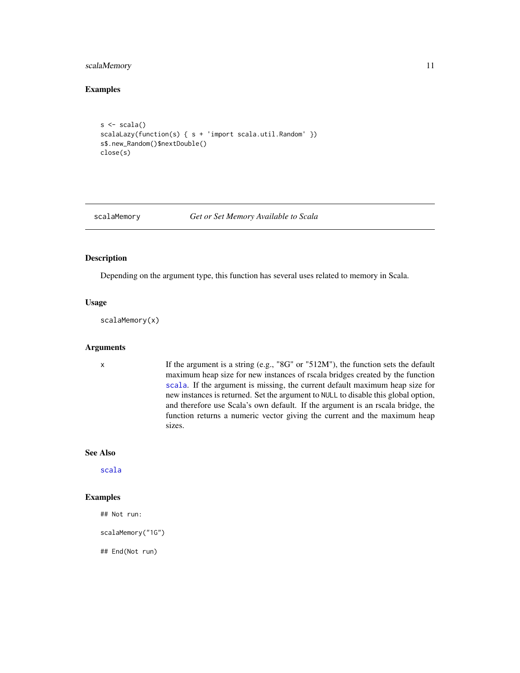### <span id="page-10-0"></span>scalaMemory 11

### Examples

```
s \leftarrow \text{scal}(s)scalaLazy(function(s) { s + 'import scala.util.Random' })
s$.new_Random()$nextDouble()
close(s)
```
<span id="page-10-1"></span>

#### scalaMemory *Get or Set Memory Available to Scala*

### Description

Depending on the argument type, this function has several uses related to memory in Scala.

#### Usage

scalaMemory(x)

#### Arguments

x If the argument is a string (e.g., "8G" or "512M"), the function sets the default maximum heap size for new instances of rscala bridges created by the function [scala](#page-4-1). If the argument is missing, the current default maximum heap size for new instances is returned. Set the argument to NULL to disable this global option, and therefore use Scala's own default. If the argument is an rscala bridge, the function returns a numeric vector giving the current and the maximum heap sizes.

### See Also

[scala](#page-4-1)

### Examples

## Not run:

scalaMemory("1G")

## End(Not run)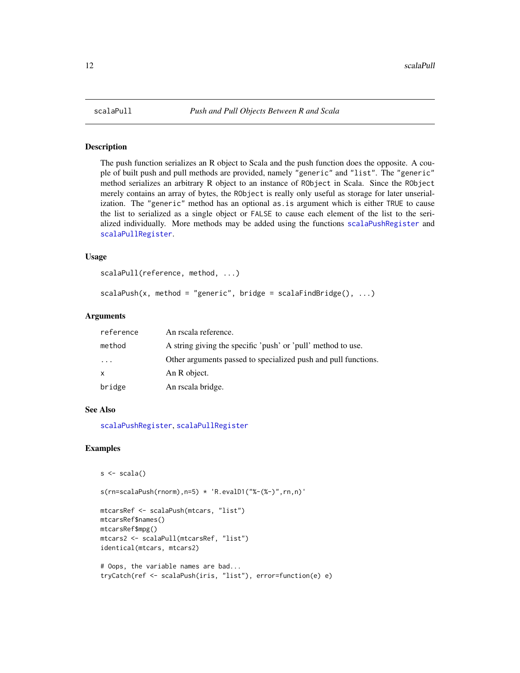<span id="page-11-2"></span><span id="page-11-0"></span>

### <span id="page-11-1"></span>Description

The push function serializes an R object to Scala and the push function does the opposite. A couple of built push and pull methods are provided, namely "generic" and "list". The "generic" method serializes an arbitrary R object to an instance of RObject in Scala. Since the RObject merely contains an array of bytes, the RObject is really only useful as storage for later unserialization. The "generic" method has an optional as.is argument which is either TRUE to cause the list to serialized as a single object or FALSE to cause each element of the list to the serialized individually. More methods may be added using the functions [scalaPushRegister](#page-12-1) and [scalaPullRegister](#page-12-2).

#### Usage

```
scalaPull(reference, method, ...)
```

```
scalaPush(x, method = "generic", bridge = scalaFindBridge(), ...)
```
#### Arguments

| reference               | An rscala reference.                                           |
|-------------------------|----------------------------------------------------------------|
| method                  | A string giving the specific 'push' or 'pull' method to use.   |
| $\cdot$ $\cdot$ $\cdot$ | Other arguments passed to specialized push and pull functions. |
| $\mathsf{x}$            | An R object.                                                   |
| bridge                  | An rscala bridge.                                              |

### See Also

[scalaPushRegister](#page-12-1), [scalaPullRegister](#page-12-2)

### Examples

```
s \leftarrow \text{scalar}()
```
s(rn=scalaPush(rnorm),n=5) \* 'R.evalD1("%-(%-)",rn,n)'

```
mtcarsRef <- scalaPush(mtcars, "list")
mtcarsRef$names()
mtcarsRef$mpg()
mtcars2 <- scalaPull(mtcarsRef, "list")
identical(mtcars, mtcars2)
# Oops, the variable names are bad...
```

```
tryCatch(ref <- scalaPush(iris, "list"), error=function(e) e)
```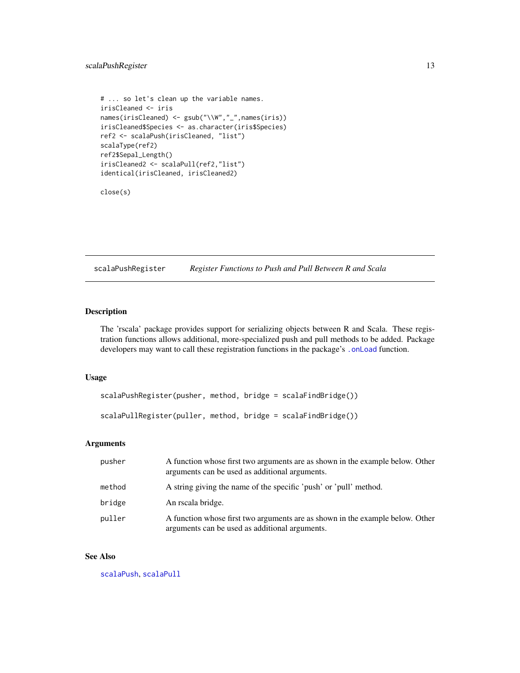### <span id="page-12-0"></span>scalaPushRegister 13

```
# ... so let's clean up the variable names.
irisCleaned <- iris
names(irisCleaned) <- gsub("\\W","_",names(iris))
irisCleaned$Species <- as.character(iris$Species)
ref2 <- scalaPush(irisCleaned, "list")
scalaType(ref2)
ref2$Sepal_Length()
irisCleaned2 <- scalaPull(ref2,"list")
identical(irisCleaned, irisCleaned2)
```
close(s)

<span id="page-12-1"></span>scalaPushRegister *Register Functions to Push and Pull Between R and Scala*

### <span id="page-12-2"></span>Description

The 'rscala' package provides support for serializing objects between R and Scala. These registration functions allows additional, more-specialized push and pull methods to be added. Package developers may want to call these registration functions in the package's [.onLoad](#page-0-0) function.

### Usage

```
scalaPushRegister(pusher, method, bridge = scalaFindBridge())
```

```
scalaPullRegister(puller, method, bridge = scalaFindBridge())
```
### Arguments

| pusher | A function whose first two arguments are as shown in the example below. Other<br>arguments can be used as additional arguments. |
|--------|---------------------------------------------------------------------------------------------------------------------------------|
| method | A string giving the name of the specific 'push' or 'pull' method.                                                               |
| bridge | An rscala bridge.                                                                                                               |
| puller | A function whose first two arguments are as shown in the example below. Other<br>arguments can be used as additional arguments. |

#### See Also

[scalaPush](#page-11-1), [scalaPull](#page-11-2)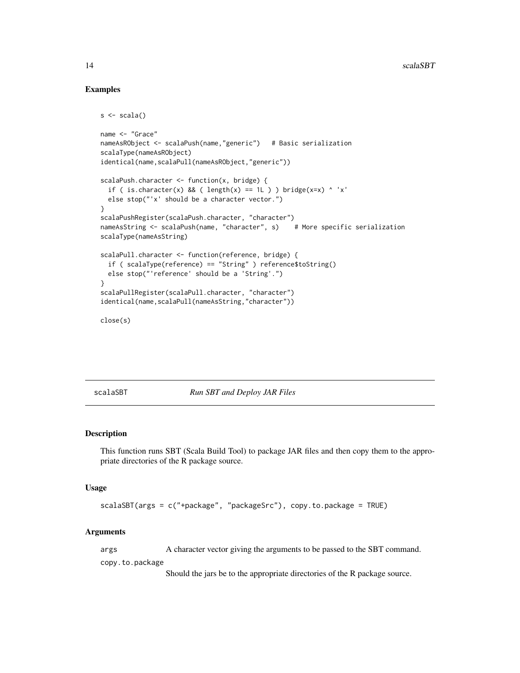### Examples

```
s <- scala()
name <- "Grace"
nameAsRObject <- scalaPush(name,"generic") # Basic serialization
scalaType(nameAsRObject)
identical(name,scalaPull(nameAsRObject,"generic"))
scalaPush.character <- function(x, bridge) {
 if ( is.character(x) && ( length(x) == 1L ) ) bridge(x=x) ^ 'x'
 else stop("'x' should be a character vector.")
}
scalaPushRegister(scalaPush.character, "character")
nameAsString <- scalaPush(name, "character", s) # More specific serialization
scalaType(nameAsString)
scalaPull.character <- function(reference, bridge) {
 if ( scalaType(reference) == "String" ) reference$toString()
 else stop("'reference' should be a 'String'.")
}
scalaPullRegister(scalaPull.character, "character")
identical(name,scalaPull(nameAsString,"character"))
close(s)
```
scalaSBT *Run SBT and Deploy JAR Files*

### Description

This function runs SBT (Scala Build Tool) to package JAR files and then copy them to the appropriate directories of the R package source.

### Usage

scalaSBT(args = c("+package", "packageSrc"), copy.to.package = TRUE)

### Arguments

args A character vector giving the arguments to be passed to the SBT command.

copy.to.package

Should the jars be to the appropriate directories of the R package source.

<span id="page-13-0"></span>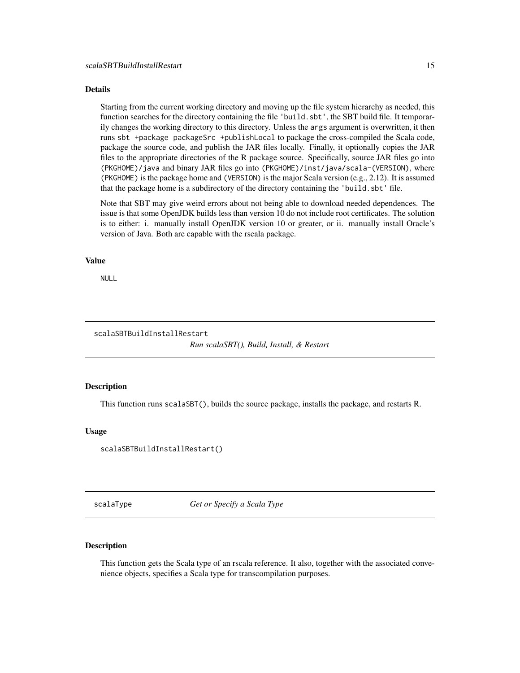#### <span id="page-14-0"></span>Details

Starting from the current working directory and moving up the file system hierarchy as needed, this function searches for the directory containing the file 'build.sbt', the SBT build file. It temporarily changes the working directory to this directory. Unless the args argument is overwritten, it then runs sbt +package packageSrc +publishLocal to package the cross-compiled the Scala code, package the source code, and publish the JAR files locally. Finally, it optionally copies the JAR files to the appropriate directories of the R package source. Specifically, source JAR files go into (PKGHOME)/java and binary JAR files go into (PKGHOME)/inst/java/scala-(VERSION), where (PKGHOME) is the package home and (VERSION) is the major Scala version (e.g., 2.12). It is assumed that the package home is a subdirectory of the directory containing the 'build.sbt' file.

Note that SBT may give weird errors about not being able to download needed dependences. The issue is that some OpenJDK builds less than version 10 do not include root certificates. The solution is to either: i. manually install OpenJDK version 10 or greater, or ii. manually install Oracle's version of Java. Both are capable with the rscala package.

### Value

NULL

#### scalaSBTBuildInstallRestart

*Run scalaSBT(), Build, Install, & Restart*

#### Description

This function runs scalaSBT(), builds the source package, installs the package, and restarts R.

#### Usage

scalaSBTBuildInstallRestart()

scalaType *Get or Specify a Scala Type*

### Description

This function gets the Scala type of an rscala reference. It also, together with the associated convenience objects, specifies a Scala type for transcompilation purposes.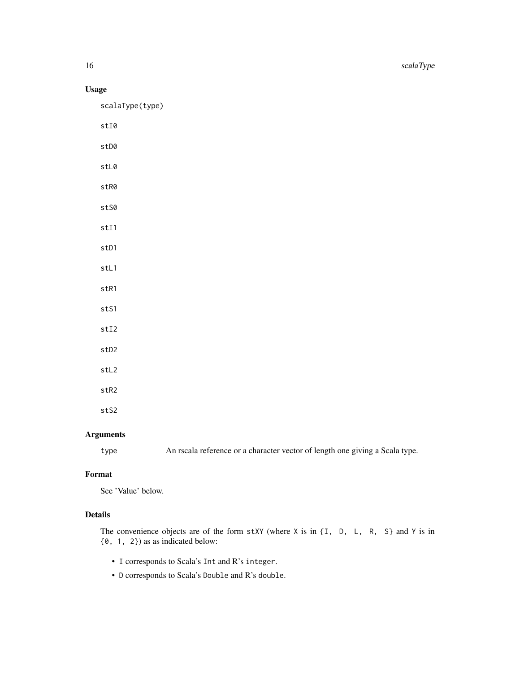16 scalaType

### Usage

scalaType(type)

- stI0
- stD0
- stL0
- stR0
- stS0
- stI1
- stD1
- stL1
- 
- stR1
- stS1
- stI2
- stD2
- stL2
- stR2
- stS2

### Arguments

type An rscala reference or a character vector of length one giving a Scala type.

### Format

See 'Value' below.

### Details

The convenience objects are of the form  $stXY$  (where  $X$  is in  $\{I, D, L, R, S\}$  and  $Y$  is in {0, 1, 2}) as as indicated below:

- I corresponds to Scala's Int and R's integer.
- D corresponds to Scala's Double and R's double.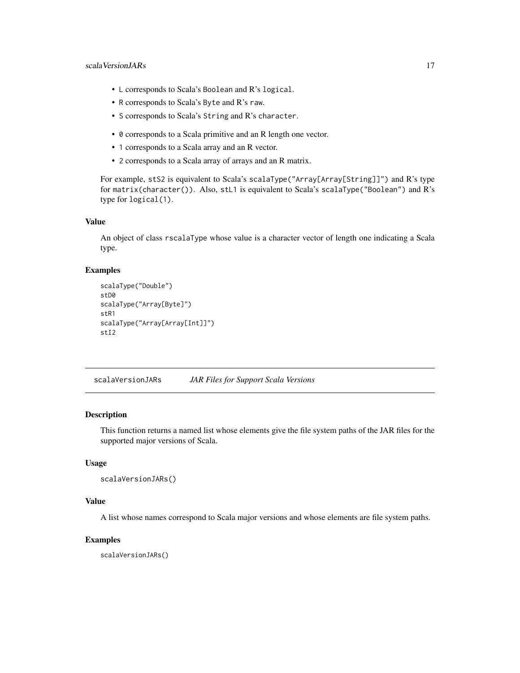### <span id="page-16-0"></span>scala VersionJARs 17

- L corresponds to Scala's Boolean and R's logical.
- R corresponds to Scala's Byte and R's raw.
- S corresponds to Scala's String and R's character.
- 0 corresponds to a Scala primitive and an R length one vector.
- 1 corresponds to a Scala array and an R vector.
- 2 corresponds to a Scala array of arrays and an R matrix.

For example, stS2 is equivalent to Scala's scalaType("Array[Array[String]]") and R's type for matrix(character()). Also, stL1 is equivalent to Scala's scalaType("Boolean") and R's type for logical(1).

#### Value

An object of class rscalaType whose value is a character vector of length one indicating a Scala type.

### Examples

```
scalaType("Double")
stD0
scalaType("Array[Byte]")
stR1
scalaType("Array[Array[Int]]")
stI2
```
scalaVersionJARs *JAR Files for Support Scala Versions*

### Description

This function returns a named list whose elements give the file system paths of the JAR files for the supported major versions of Scala.

#### Usage

```
scalaVersionJARs()
```
### Value

A list whose names correspond to Scala major versions and whose elements are file system paths.

### Examples

scalaVersionJARs()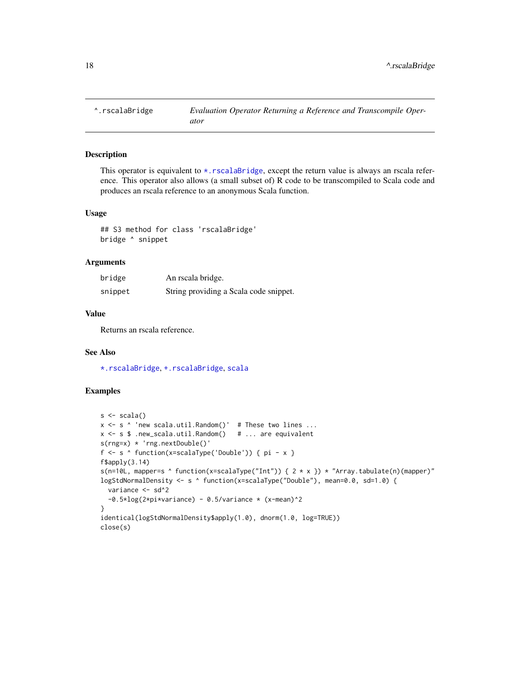<span id="page-17-1"></span><span id="page-17-0"></span>

### Description

This operator is equivalent to  $\star$ . rscalaBridge, except the return value is always an rscala reference. This operator also allows (a small subset of) R code to be transcompiled to Scala code and produces an rscala reference to an anonymous Scala function.

### Usage

## S3 method for class 'rscalaBridge' bridge ^ snippet

### Arguments

| bridge  | An rscala bridge.                      |
|---------|----------------------------------------|
| snippet | String providing a Scala code snippet. |

### Value

Returns an rscala reference.

### See Also

[\\*.rscalaBridge](#page-1-1), [+.rscalaBridge](#page-2-1), [scala](#page-4-1)

#### Examples

```
s \leftarrow \text{scalar}()x \leq s 'new scala.util.Random()' # These two lines ...
x <- s $ .new_scala.util.Random() # ... are equivalent
s(rng=x) * 'rng.nextDouble()'
f \leq s \land function(x=scalaType('Double')) { pi - x }
f$apply(3.14)s(n=10L, mapper=s \land function(x=scalaType("Int")) { 2 * x }) * "Array.tabulate(n)(mapper)"
logStdNormalDensity <- s ^ function(x=scalaType("Double"), mean=0.0, sd=1.0) {
  variance <- sd^2
  -0.5*log(2*pi*variance) - 0.5/variance * (x-mean)^2}
identical(logStdNormalDensity$apply(1.0), dnorm(1.0, log=TRUE))
close(s)
```